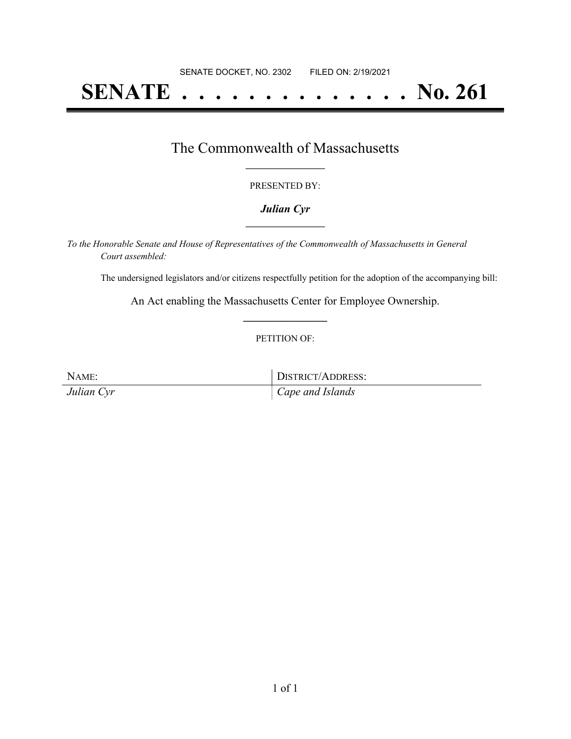# **SENATE . . . . . . . . . . . . . . No. 261**

### The Commonwealth of Massachusetts **\_\_\_\_\_\_\_\_\_\_\_\_\_\_\_\_\_**

#### PRESENTED BY:

#### *Julian Cyr* **\_\_\_\_\_\_\_\_\_\_\_\_\_\_\_\_\_**

*To the Honorable Senate and House of Representatives of the Commonwealth of Massachusetts in General Court assembled:*

The undersigned legislators and/or citizens respectfully petition for the adoption of the accompanying bill:

An Act enabling the Massachusetts Center for Employee Ownership. **\_\_\_\_\_\_\_\_\_\_\_\_\_\_\_**

#### PETITION OF:

NAME: DISTRICT/ADDRESS: *Julian Cyr Cape and Islands*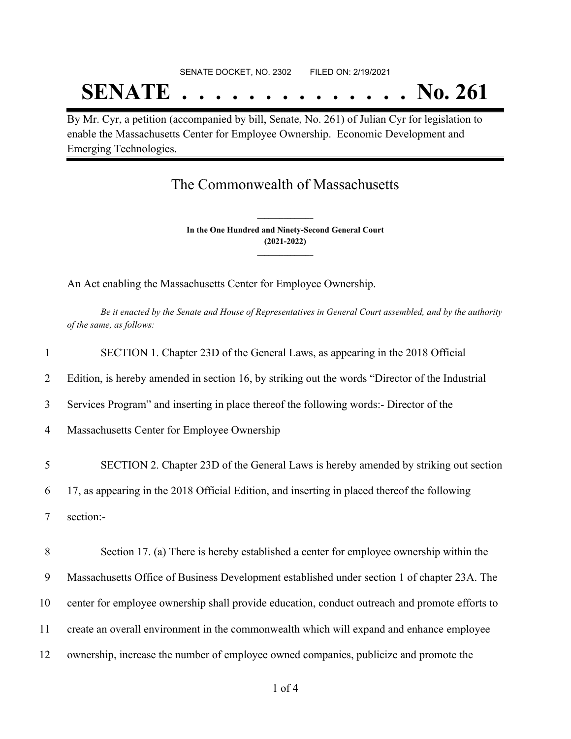# SENATE DOCKET, NO. 2302 FILED ON: 2/19/2021 **SENATE . . . . . . . . . . . . . . No. 261**

By Mr. Cyr, a petition (accompanied by bill, Senate, No. 261) of Julian Cyr for legislation to enable the Massachusetts Center for Employee Ownership. Economic Development and Emerging Technologies.

## The Commonwealth of Massachusetts

**In the One Hundred and Ninety-Second General Court (2021-2022) \_\_\_\_\_\_\_\_\_\_\_\_\_\_\_**

**\_\_\_\_\_\_\_\_\_\_\_\_\_\_\_**

An Act enabling the Massachusetts Center for Employee Ownership.

Be it enacted by the Senate and House of Representatives in General Court assembled, and by the authority *of the same, as follows:*

| $\mathbf{1}$   | SECTION 1. Chapter 23D of the General Laws, as appearing in the 2018 Official                   |
|----------------|-------------------------------------------------------------------------------------------------|
| 2              | Edition, is hereby amended in section 16, by striking out the words "Director of the Industrial |
| 3              | Services Program" and inserting in place thereof the following words:- Director of the          |
| $\overline{4}$ | Massachusetts Center for Employee Ownership                                                     |
| 5              | SECTION 2. Chapter 23D of the General Laws is hereby amended by striking out section            |
| 6              | 17, as appearing in the 2018 Official Edition, and inserting in placed thereof the following    |
| 7              | section:-                                                                                       |
| 8              | Section 17. (a) There is hereby established a center for employee ownership within the          |
| 9              | Massachusetts Office of Business Development established under section 1 of chapter 23A. The    |
| 10             | center for employee ownership shall provide education, conduct outreach and promote efforts to  |
| 11             | create an overall environment in the commonwealth which will expand and enhance employee        |
| 12             | ownership, increase the number of employee owned companies, publicize and promote the           |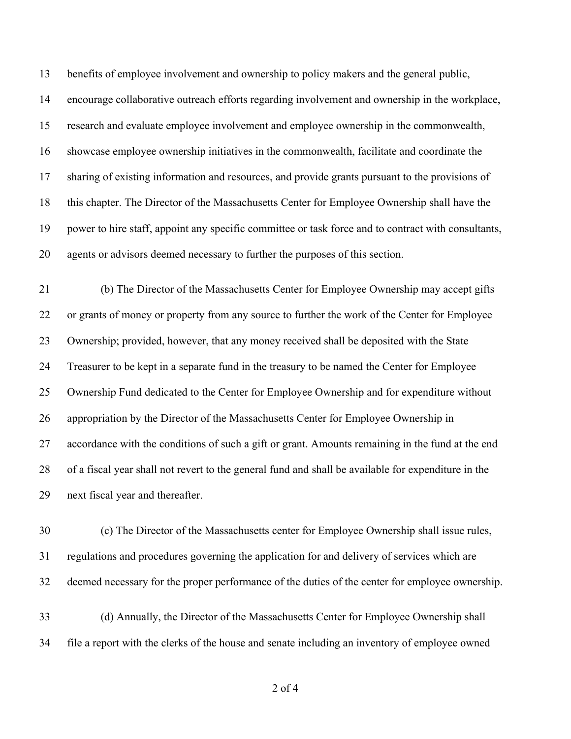benefits of employee involvement and ownership to policy makers and the general public, encourage collaborative outreach efforts regarding involvement and ownership in the workplace, research and evaluate employee involvement and employee ownership in the commonwealth, showcase employee ownership initiatives in the commonwealth, facilitate and coordinate the sharing of existing information and resources, and provide grants pursuant to the provisions of this chapter. The Director of the Massachusetts Center for Employee Ownership shall have the power to hire staff, appoint any specific committee or task force and to contract with consultants, agents or advisors deemed necessary to further the purposes of this section.

 (b) The Director of the Massachusetts Center for Employee Ownership may accept gifts or grants of money or property from any source to further the work of the Center for Employee Ownership; provided, however, that any money received shall be deposited with the State Treasurer to be kept in a separate fund in the treasury to be named the Center for Employee Ownership Fund dedicated to the Center for Employee Ownership and for expenditure without appropriation by the Director of the Massachusetts Center for Employee Ownership in accordance with the conditions of such a gift or grant. Amounts remaining in the fund at the end of a fiscal year shall not revert to the general fund and shall be available for expenditure in the next fiscal year and thereafter.

 (c) The Director of the Massachusetts center for Employee Ownership shall issue rules, regulations and procedures governing the application for and delivery of services which are deemed necessary for the proper performance of the duties of the center for employee ownership.

 (d) Annually, the Director of the Massachusetts Center for Employee Ownership shall file a report with the clerks of the house and senate including an inventory of employee owned

of 4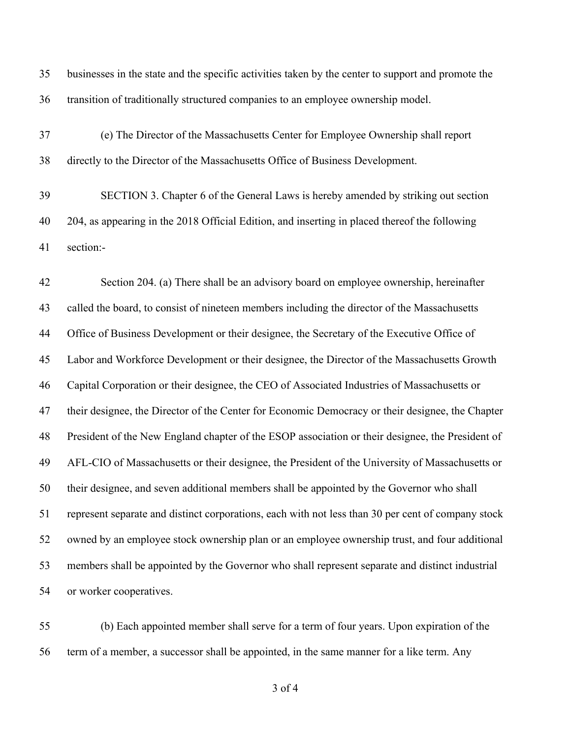| 35 | businesses in the state and the specific activities taken by the center to support and promote the |
|----|----------------------------------------------------------------------------------------------------|
| 36 | transition of traditionally structured companies to an employee ownership model.                   |
| 37 | (e) The Director of the Massachusetts Center for Employee Ownership shall report                   |
| 38 | directly to the Director of the Massachusetts Office of Business Development.                      |
| 39 | SECTION 3. Chapter 6 of the General Laws is hereby amended by striking out section                 |
| 40 | 204, as appearing in the 2018 Official Edition, and inserting in placed thereof the following      |
| 41 | section:-                                                                                          |

 Section 204. (a) There shall be an advisory board on employee ownership, hereinafter called the board, to consist of nineteen members including the director of the Massachusetts 44 Office of Business Development or their designee, the Secretary of the Executive Office of Labor and Workforce Development or their designee, the Director of the Massachusetts Growth Capital Corporation or their designee, the CEO of Associated Industries of Massachusetts or their designee, the Director of the Center for Economic Democracy or their designee, the Chapter President of the New England chapter of the ESOP association or their designee, the President of AFL-CIO of Massachusetts or their designee, the President of the University of Massachusetts or their designee, and seven additional members shall be appointed by the Governor who shall represent separate and distinct corporations, each with not less than 30 per cent of company stock owned by an employee stock ownership plan or an employee ownership trust, and four additional members shall be appointed by the Governor who shall represent separate and distinct industrial or worker cooperatives.

 (b) Each appointed member shall serve for a term of four years. Upon expiration of the term of a member, a successor shall be appointed, in the same manner for a like term. Any

of 4